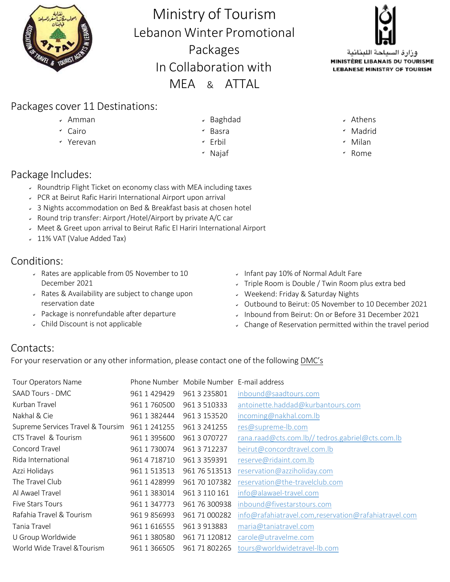

Ministry of Tourism Lebanon Winter Promotional Packages In Collaboration with MEA & ATTAL



وزارة السياحة اللبنانية MINISTÈRE LIBANAIS DU TOURISME **LEBANESE MINISTRY OF TOURISM** 

## Packages cover 11 Destinations:

- 
- 
- 
- v Amman and Controller v Baghdad and Controller v Athens
	-
	- Yerevan Erbil Milan
		- \* Najaf \* \* Rome

## Package Includes:

- Roundtrip Flight Ticket on economy class with MEA including taxes
- PCR at Beirut Rafic Hariri International Airport upon arrival
- 3 Nights accommodation on Bed & Breakfast basis at chosen hotel
- Round trip transfer: Airport /Hotel/Airport by private A/C car
- Meet & Greet upon arrival to Beirut Rafic El Hariri International Airport
- 11% VAT (Value Added Tax)

## Conditions:

- Rates are applicable from 05 November to 10 December 2021
- Rates & Availability are subject to change upon reservation date
- Package is nonrefundable after departure
- Child Discount is not applicable
- Infant pay 10% of Normal Adult Fare
- Triple Room is Double / Twin Room plus extra bed
- Weekend: Friday & Saturday Nights
- Outbound to Beirut: 05 November to 10 December 2021
- Inbound from Beirut: On or Before 31 December 2021
- Change of Reservation permitted within the travel period

## Contacts:

For your reservation or any other information, please contact one of the following DMC's

| <b>Tour Operators Name</b>        |                   | Phone Number Mobile Number E-mail address |                                                       |
|-----------------------------------|-------------------|-------------------------------------------|-------------------------------------------------------|
| SAAD Tours - DMC                  | 961 1 429429      | 961 3 235801                              | inbound@saadtours.com                                 |
| Kurban Travel                     | 961 1 760500      | 961 3 510333                              | antoinette.haddad@kurbantours.com                     |
| Nakhal & Cie                      | 961 1 382444      | 961 3 153520                              | incoming@nakhal.com.lb                                |
| Supreme Services Travel & Toursim | 961 1 241255      | 961 3 241255                              | res@supreme-lb.com                                    |
| CTS Travel & Tourism              | 961 1 395600      | 961 3 070727                              | rana.raad@cts.com.lb//tedros.gabriel@cts.com.lb       |
| Concord Travel                    | 961 1 730074      | 961 3 712237                              | beirut@concordtravel.com.lb                           |
| Rida International                | 961 4 718710      | 961 3 3 5 9 3 9 1                         | reserve@ridaint.com.lb                                |
| Azzi Holidays                     | 961 1 513513      | 961 76 513513                             | reservation@azziholiday.com                           |
| The Travel Club                   | 961 1 428999      | 961 70 107382                             | reservation@the-travelclub.com                        |
| Al Awael Travel                   | 961 1 383014      | 961 3 110 161                             | info@alawael-travel.com                               |
| <b>Five Stars Tours</b>           | 961 1 347773      | 961 76 300938                             | inbound@fivestarstours.com                            |
| Rafahia Travel & Tourism          | 961 9 856993      | 961 71 000282                             | info@rafahiatravel.com, reservation@rafahiatravel.com |
| Tania Travel                      | 961 1 616555      | 961 3 913883                              | maria@taniatravel.com                                 |
| U Group Worldwide                 | 961 1 380580      | 961 71 120812                             | carole@utravelme.com                                  |
| World Wide Travel & Tourism       | 961 1 3 6 6 5 0 5 | 961 71 802265                             | tours@worldwidetravel-lb.com                          |

- 
- Cairo **Madrid** Cairo Madrid Cairo Madrid Cairo Madrid
	-
	-